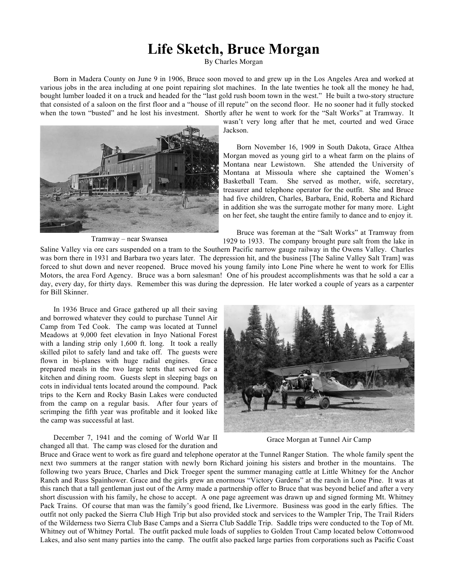## **Life Sketch, Bruce Morgan**

By Charles Morgan

Born in Madera County on June 9 in 1906, Bruce soon moved to and grew up in the Los Angeles Area and worked at various jobs in the area including at one point repairing slot machines. In the late twenties he took all the money he had, bought lumber loaded it on a truck and headed for the "last gold rush boom town in the west." He built a two-story structure that consisted of a saloon on the first floor and a "house of ill repute" on the second floor. He no sooner had it fully stocked when the town "busted" and he lost his investment. Shortly after he went to work for the "Salt Works" at Tramway. It



Tramway – near Swansea

wasn't very long after that he met, courted and wed Grace Jackson.

Born November 16, 1909 in South Dakota, Grace Althea Morgan moved as young girl to a wheat farm on the plains of Montana near Lewistown. She attended the University of Montana at Missoula where she captained the Women's Basketball Team. She served as mother, wife, secretary, treasurer and telephone operator for the outfit. She and Bruce had five children, Charles, Barbara, Enid, Roberta and Richard in addition she was the surrogate mother for many more. Light on her feet, she taught the entire family to dance and to enjoy it.

Bruce was foreman at the "Salt Works" at Tramway from 1929 to 1933. The company brought pure salt from the lake in

Saline Valley via ore cars suspended on a tram to the Southern Pacific narrow gauge railway in the Owens Valley. Charles was born there in 1931 and Barbara two years later. The depression hit, and the business [The Saline Valley Salt Tram] was forced to shut down and never reopened. Bruce moved his young family into Lone Pine where he went to work for Ellis Motors, the area Ford Agency. Bruce was a born salesman! One of his proudest accomplishments was that he sold a car a day, every day, for thirty days. Remember this was during the depression. He later worked a couple of years as a carpenter for Bill Skinner.

In 1936 Bruce and Grace gathered up all their saving and borrowed whatever they could to purchase Tunnel Air Camp from Ted Cook. The camp was located at Tunnel Meadows at 9,000 feet elevation in Inyo National Forest with a landing strip only 1,600 ft. long. It took a really skilled pilot to safely land and take off. The guests were flown in bi-planes with huge radial engines. Grace prepared meals in the two large tents that served for a kitchen and dining room. Guests slept in sleeping bags on cots in individual tents located around the compound. Pack trips to the Kern and Rocky Basin Lakes were conducted from the camp on a regular basis. After four years of scrimping the fifth year was profitable and it looked like the camp was successful at last.

December 7, 1941 and the coming of World War II changed all that. The camp was closed for the duration and



Grace Morgan at Tunnel Air Camp

Bruce and Grace went to work as fire guard and telephone operator at the Tunnel Ranger Station. The whole family spent the next two summers at the ranger station with newly born Richard joining his sisters and brother in the mountains. The following two years Bruce, Charles and Dick Troeger spent the summer managing cattle at Little Whitney for the Anchor Ranch and Russ Spainhower. Grace and the girls grew an enormous "Victory Gardens" at the ranch in Lone Pine. It was at this ranch that a tall gentleman just out of the Army made a partnership offer to Bruce that was beyond belief and after a very short discussion with his family, he chose to accept. A one page agreement was drawn up and signed forming Mt. Whitney Pack Trains. Of course that man was the family's good friend, Ike Livermore. Business was good in the early fifties. The outfit not only packed the Sierra Club High Trip but also provided stock and services to the Wampler Trip, The Trail Riders of the Wilderness two Sierra Club Base Camps and a Sierra Club Saddle Trip. Saddle trips were conducted to the Top of Mt. Whitney out of Whitney Portal. The outfit packed mule loads of supplies to Golden Trout Camp located below Cottonwood Lakes, and also sent many parties into the camp. The outfit also packed large parties from corporations such as Pacific Coast